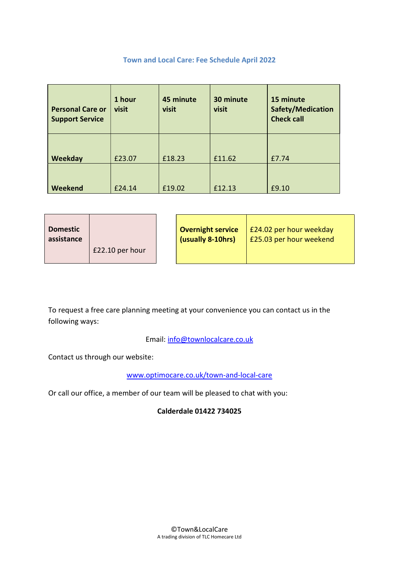### Town and Local Care: Fee Schedule April 2022

| <b>Personal Care or</b><br><b>Support Service</b> | 1 hour<br>visit | 45 minute<br>visit | 30 minute<br>visit | 15 minute<br>Safety/Medication<br><b>Check call</b> |
|---------------------------------------------------|-----------------|--------------------|--------------------|-----------------------------------------------------|
| Weekday                                           | £23.07          | £18.23             | £11.62             | £7.74                                               |
| <b>Weekend</b>                                    | £24.14          | £19.02             | £12.13             | £9.10                                               |

| <b>Domestic</b><br>assistance |                 | <b>Overnight service</b><br>(usually 8-10hrs) | £24.02 per hour weekday<br>£25.03 per hour weekend |
|-------------------------------|-----------------|-----------------------------------------------|----------------------------------------------------|
|                               | £22.10 per hour |                                               |                                                    |

To request a free care planning meeting at your convenience you can contact us in the following ways:

Email: info@townlocalcare.co.uk

Contact us through our website:

www.optimocare.co.uk/town-and-local-care

Or call our office, a member of our team will be pleased to chat with you:

Calderdale 01422 734025